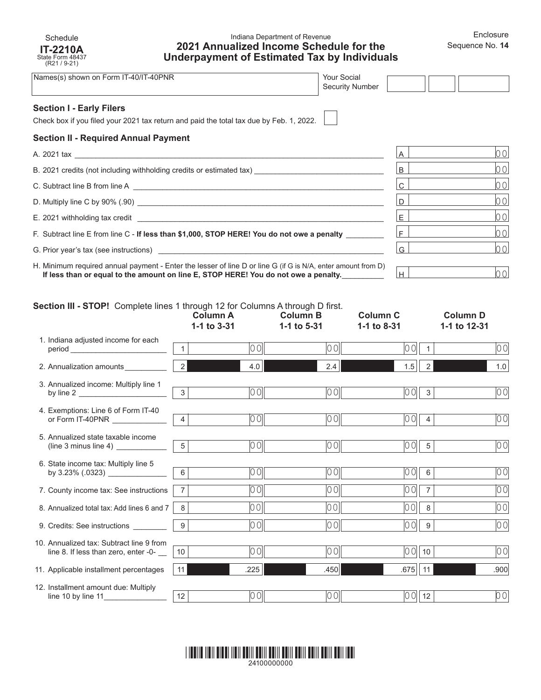### Indiana Department of Revenue **2021 Annualized Income Schedule for the Underpayment of Estimated Tax by Individuals**

| Names(s) shown on Form IT-40/IT-40PNR                                                                                                                                                                                          | <b>Your Social</b><br>Security Number |              |     |
|--------------------------------------------------------------------------------------------------------------------------------------------------------------------------------------------------------------------------------|---------------------------------------|--------------|-----|
| <b>Section I - Early Filers</b><br>Check box if you filed your 2021 tax return and paid the total tax due by Feb. 1, 2022.                                                                                                     |                                       |              |     |
| <b>Section II - Required Annual Payment</b>                                                                                                                                                                                    |                                       |              |     |
|                                                                                                                                                                                                                                |                                       | $\mathsf{A}$ | 00l |
| B. 2021 credits (not including withholding credits or estimated tax) _______________________________                                                                                                                           |                                       | B            | 00  |
|                                                                                                                                                                                                                                |                                       | $\mathsf{C}$ | 00  |
|                                                                                                                                                                                                                                |                                       | D            | 00  |
| E. 2021 withholding tax credit and a state of the state of the state of the state of the state of the state of the state of the state of the state of the state of the state of the state of the state of the state of the sta |                                       | E.           | 00  |
| F. Subtract line E from line C - If less than \$1,000, STOP HERE! You do not owe a penalty                                                                                                                                     |                                       | $F \mid$     | 00  |
| G. Prior year's tax (see instructions) Sample of the state of the state of the state of the state of the state of the state of the state of the state of the state of the state of the state of the state of the state of the  |                                       | G            | 00  |
| H. Minimum required annual payment - Enter the lesser of line D or line G (if G is N/A, enter amount from D) $\longrightarrow$                                                                                                 |                                       |              |     |

red annual payment - Enter the lesser of line D or line G (if G is N/A, enter amount from D) If less than or equal to the amount on line E, STOP HERE! You do not owe a penalty.<br>If less than or equal to the amount on line E, STOP HERE! You do not owe a penalty.

# **Section III - STOP!** Complete lines 1 through 12 for Columns A through D first.

Schedule **IT-2210A** State Form 48437 (R21 / 9-21)

|                                                                                                                                                       | <b>Column A</b><br>1-1 to 3-31 |       | <b>Column B</b><br>1-1 to 5-31 | <b>Column C</b><br>1-1 to 8-31 |                | <b>Column D</b><br>1-1 to 12-31 |
|-------------------------------------------------------------------------------------------------------------------------------------------------------|--------------------------------|-------|--------------------------------|--------------------------------|----------------|---------------------------------|
| 1. Indiana adjusted income for each<br>period and the contract of the contract of the contract of the contract of the contract of the contract of the |                                | lo ol | 00                             | 00                             |                | 00                              |
| 2. Annualization amounts                                                                                                                              | $2 \mid$                       | 4.0   | 2.4                            | 1.5                            | $\overline{2}$ | 1.0                             |
| 3. Annualized income: Multiply line 1<br>by line $2 \_$                                                                                               | 3                              | 00    | 00                             | 10 O                           | 3              | 00                              |
| 4. Exemptions: Line 6 of Form IT-40<br>or Form IT-40PNR                                                                                               | $\overline{4}$                 | 0 O   | 00                             | 0 O                            | $\overline{4}$ | 00                              |
| 5. Annualized state taxable income                                                                                                                    | 5                              | 00    | 00                             | 00                             | 5              | 00                              |
| 6. State income tax: Multiply line 5                                                                                                                  | 6                              | 00    | 00                             | 0 O                            | 6              | 00                              |
| 7. County income tax: See instructions                                                                                                                | $\overline{7}$                 | 00    | 00                             | 0 O                            | $\overline{7}$ | 00                              |
| 8. Annualized total tax: Add lines 6 and 7                                                                                                            | 8                              | 001   | 00                             | 00                             | 8              | 00                              |
| 9. Credits: See instructions ________                                                                                                                 | 9                              | 0 O   | 00                             | 00                             | 9              | 00                              |
| 10. Annualized tax: Subtract line 9 from<br>line 8. If less than zero, enter -0-                                                                      | 10                             | 00l   | 00                             | $ 00 $ 10                      |                | 00                              |
| 11. Applicable installment percentages                                                                                                                | 11                             | .225  | .450                           | .675   11                      |                | .900                            |
| 12. Installment amount due: Multiply                                                                                                                  | 12                             | 00    | 00                             | $ 00 $ 12                      |                | 00                              |

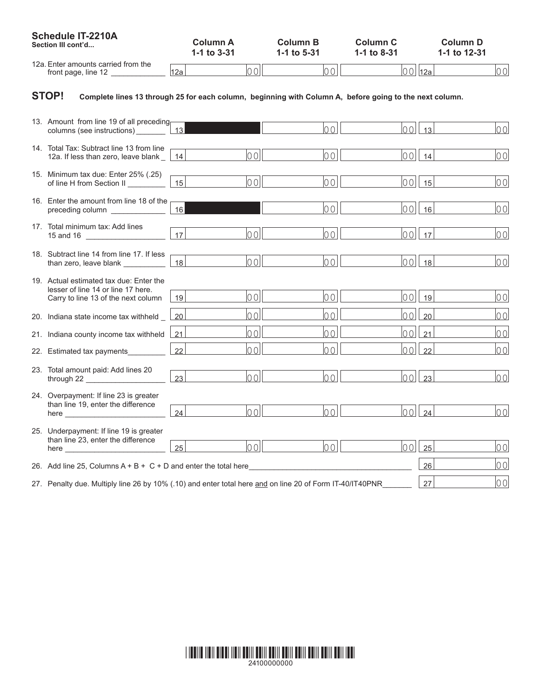| Schedule IT-2210A<br>Section III cont'd                                                                                                                                                                                                                                                                              | <b>Column A</b><br>1-1 to 3-31 | <b>Column B</b><br>1-1 to 5-31 | <b>Column C</b><br>1-1 to 8-31 | <b>Column D</b><br>1-1 to 12-31 |
|----------------------------------------------------------------------------------------------------------------------------------------------------------------------------------------------------------------------------------------------------------------------------------------------------------------------|--------------------------------|--------------------------------|--------------------------------|---------------------------------|
| 12a. Enter amounts carried from the<br>front page, line $12$ __________                                                                                                                                                                                                                                              | 12a                            | lool<br> 00                    |                                | $ 00 $ 12a<br> 00               |
| <b>STOP!</b><br>Complete lines 13 through 25 for each column, beginning with Column A, before going to the next column.                                                                                                                                                                                              |                                |                                |                                |                                 |
| 13. Amount from line 19 of all preceding<br>columns (see instructions)                                                                                                                                                                                                                                               | 13                             | 00                             | lool                           | 00<br>13                        |
| 14. Total Tax: Subtract line 13 from line<br>12a. If less than zero, leave blank _                                                                                                                                                                                                                                   | 00 <br>14                      | 00                             | 00                             | 0 O <br>14                      |
| 15. Minimum tax due: Enter 25% (.25)<br>of line H from Section II                                                                                                                                                                                                                                                    | lool<br>15                     | 00                             | 00                             | 00 <br>15                       |
| 16. Enter the amount from line 18 of the<br>preceding column containing the contact of the preceding column                                                                                                                                                                                                          | 16 <sup>1</sup>                | 00                             |                                | 00<br>$00$   16                 |
| 17. Total minimum tax: Add lines<br>15 and 16 _______________                                                                                                                                                                                                                                                        | 17<br>00                       | 00                             |                                | 00 <br>$ 00 $ 17                |
| 18. Subtract line 14 from line 17. If less<br>than zero, leave blank __________                                                                                                                                                                                                                                      | lool<br>18                     | 00                             | 00                             | 00 <br>18                       |
| 19. Actual estimated tax due: Enter the<br>lesser of line 14 or line 17 here.<br>Carry to line 13 of the next column                                                                                                                                                                                                 | lool<br>19 <sup>1</sup>        | lo o l                         | lool                           | lo ol<br>19                     |
| 20. Indiana state income tax withheld _                                                                                                                                                                                                                                                                              | 00<br>20                       | lool                           | 00 <sup>1</sup>                | 20<br>00                        |
| 21. Indiana county income tax withheld                                                                                                                                                                                                                                                                               | 00<br>21                       | lo o l                         | 00 <sup>1</sup>                | 21<br>lo ol                     |
| 22. Estimated tax payments                                                                                                                                                                                                                                                                                           | 00<br>22                       | 00                             | 00                             | 00<br>22                        |
| 23. Total amount paid: Add lines 20<br>through 22 ____________                                                                                                                                                                                                                                                       | lool<br>23                     | 0 <sub>0</sub>                 | 00                             | 00 <br>23                       |
| 24. Overpayment: If line 23 is greater<br>than line 19, enter the difference<br>here <b>the contract of the contract of the contract of the contract of the contract of the contract of the contract of the contract of the contract of the contract of the contract of the contract of the contract of the cont</b> | lool<br>24                     | 00                             | lool                           | 00<br>24                        |
| 25. Underpayment: If line 19 is greater<br>than line 23, enter the difference                                                                                                                                                                                                                                        | 25<br>lool                     | 00                             | 00                             | 25<br>00                        |
| 26. Add line 25, Columns $A + B + C + D$ and enter the total here                                                                                                                                                                                                                                                    |                                |                                |                                | 00 <br>26                       |
| 27. Penalty due. Multiply line 26 by 10% (.10) and enter total here and on line 20 of Form IT-40/IT40PNR_                                                                                                                                                                                                            |                                |                                |                                | 00<br>27                        |

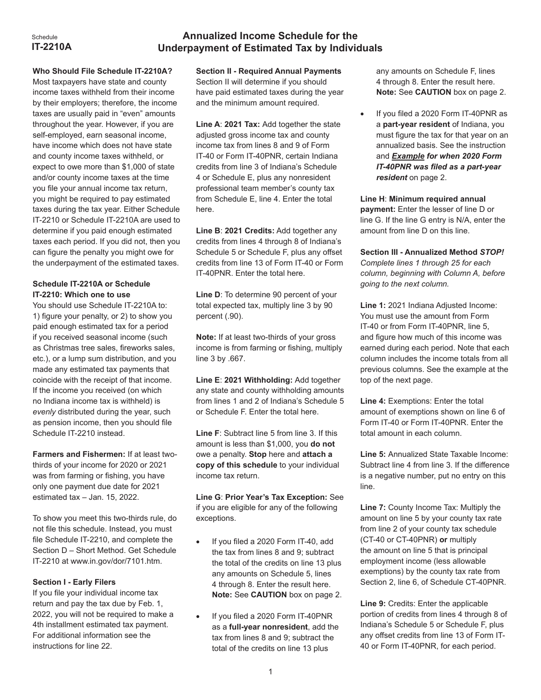#### Schedule **IT-2210A**

# **Annualized Income Schedule for the Underpayment of Estimated Tax by Individuals**

### **Who Should File Schedule IT-2210A?**

Most taxpayers have state and county income taxes withheld from their income by their employers; therefore, the income taxes are usually paid in "even" amounts throughout the year. However, if you are self-employed, earn seasonal income, have income which does not have state and county income taxes withheld, or expect to owe more than \$1,000 of state and/or county income taxes at the time you file your annual income tax return, you might be required to pay estimated taxes during the tax year. Either Schedule IT-2210 or Schedule IT-2210A are used to determine if you paid enough estimated taxes each period. If you did not, then you can figure the penalty you might owe for the underpayment of the estimated taxes.

# **Schedule IT-2210A or Schedule IT-2210: Which one to use**

You should use Schedule IT-2210A to: 1) figure your penalty, or 2) to show you paid enough estimated tax for a period if you received seasonal income (such as Christmas tree sales, fireworks sales, etc.), or a lump sum distribution, and you made any estimated tax payments that coincide with the receipt of that income. If the income you received (on which no Indiana income tax is withheld) is *evenly* distributed during the year, such as pension income, then you should file Schedule IT-2210 instead.

**Farmers and Fishermen:** If at least twothirds of your income for 2020 or 2021 was from farming or fishing, you have only one payment due date for 2021 estimated tax – Jan. 15, 2022.

To show you meet this two-thirds rule, do not file this schedule. Instead, you must file Schedule IT-2210, and complete the Section D – Short Method. Get Schedule IT-2210 at www.in.gov/dor/7101.htm.

## **Section I - Early Filers**

If you file your individual income tax return and pay the tax due by Feb. 1, 2022, you will not be required to make a 4th installment estimated tax payment. For additional information see the instructions for line 22.

**Section II - Required Annual Payments** Section II will determine if you should have paid estimated taxes during the year and the minimum amount required.

**Line A**: **2021 Tax:** Add together the state adjusted gross income tax and county income tax from lines 8 and 9 of Form IT-40 or Form IT-40PNR, certain Indiana credits from line 3 of Indiana's Schedule 4 or Schedule E, plus any nonresident professional team member's county tax from Schedule E, line 4. Enter the total here.

**Line B**: **2021 Credits:** Add together any credits from lines 4 through 8 of Indiana's Schedule 5 or Schedule F, plus any offset credits from line 13 of Form IT-40 or Form IT-40PNR. Enter the total here.

**Line D**: To determine 90 percent of your total expected tax, multiply line 3 by 90 percent (.90).

**Note:** If at least two-thirds of your gross income is from farming or fishing, multiply line 3 by .667.

**Line E**: **2021 Withholding:** Add together any state and county withholding amounts from lines 1 and 2 of Indiana's Schedule 5 or Schedule F. Enter the total here.

**Line F**: Subtract line 5 from line 3. If this amount is less than \$1,000, you **do not**  owe a penalty. **Stop** here and **attach a copy of this schedule** to your individual income tax return.

**Line G**: **Prior Year's Tax Exception:** See if you are eligible for any of the following exceptions.

- If you filed a 2020 Form IT-40, add the tax from lines 8 and 9; subtract the total of the credits on line 13 plus any amounts on Schedule 5, lines 4 through 8. Enter the result here. **Note:** See **CAUTION** box on page 2.
- If you filed a 2020 Form IT-40PNR as a **full-year nonresident**, add the tax from lines 8 and 9; subtract the total of the credits on line 13 plus

any amounts on Schedule F, lines 4 through 8. Enter the result here. **Note:** See **CAUTION** box on page 2.

If you filed a 2020 Form IT-40PNR as a **part-year resident** of Indiana, you must figure the tax for that year on an annualized basis. See the instruction and *Example for when 2020 Form IT-40PNR was filed as a part-year resident* on page 2.

**Line H**: **Minimum required annual payment:** Enter the lesser of line D or line G. If the line G entry is N/A, enter the amount from line D on this line.

**Section III - Annualized Method** *STOP! Complete lines 1 through 25 for each column, beginning with Column A, before going to the next column.*

**Line 1:** 2021 Indiana Adjusted Income: You must use the amount from Form IT-40 or from Form IT-40PNR, line 5, and figure how much of this income was earned during each period. Note that each column includes the income totals from all previous columns. See the example at the top of the next page.

**Line 4:** Exemptions: Enter the total amount of exemptions shown on line 6 of Form IT-40 or Form IT-40PNR. Enter the total amount in each column.

**Line 5:** Annualized State Taxable Income: Subtract line 4 from line 3. If the difference is a negative number, put no entry on this line.

**Line 7:** County Income Tax: Multiply the amount on line 5 by your county tax rate from line 2 of your county tax schedule (CT-40 or CT-40PNR) **or** multiply the amount on line 5 that is principal employment income (less allowable exemptions) by the county tax rate from Section 2, line 6, of Schedule CT-40PNR.

**Line 9:** Credits: Enter the applicable portion of credits from lines 4 through 8 of Indiana's Schedule 5 or Schedule F, plus any offset credits from line 13 of Form IT-40 or Form IT-40PNR, for each period.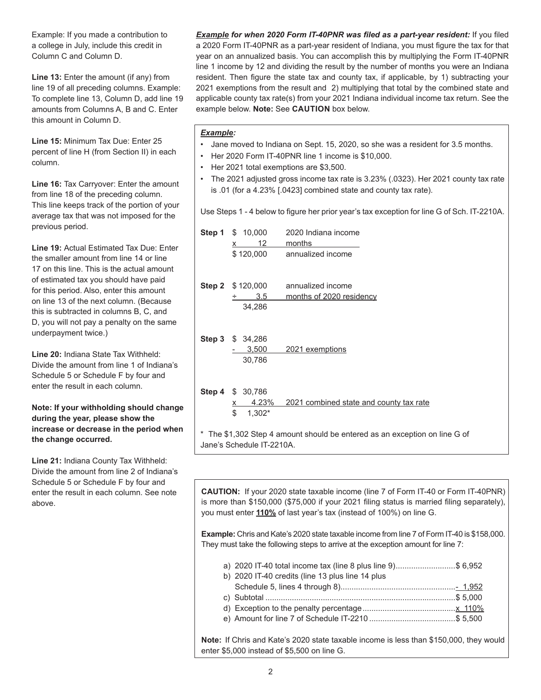Example: If you made a contribution to a college in July, include this credit in Column C and Column D.

Line 13: Enter the amount (if any) from line 19 of all preceding columns. Example: To complete line 13, Column D, add line 19 amounts from Columns A, B and C. Enter this amount in Column D.

**Line 15:** Minimum Tax Due: Enter 25 percent of line H (from Section II) in each column.

**Line 16:** Tax Carryover: Enter the amount from line 18 of the preceding column. This line keeps track of the portion of your average tax that was not imposed for the previous period.

**Line 19:** Actual Estimated Tax Due: Enter the smaller amount from line 14 or line 17 on this line. This is the actual amount of estimated tax you should have paid for this period. Also, enter this amount on line 13 of the next column. (Because this is subtracted in columns B, C, and D, you will not pay a penalty on the same underpayment twice.)

**Line 20:** Indiana State Tax Withheld: Divide the amount from line 1 of Indiana's Schedule 5 or Schedule F by four and enter the result in each column.

#### **Note: If your withholding should change during the year, please show the increase or decrease in the period when the change occurred.**

**Line 21:** Indiana County Tax Withheld: Divide the amount from line 2 of Indiana's Schedule 5 or Schedule F by four and enter the result in each column. See note above.

*Example for when 2020 Form IT-40PNR was filed as a part-year resident:* If you filed a 2020 Form IT-40PNR as a part-year resident of Indiana, you must figure the tax for that year on an annualized basis. You can accomplish this by multiplying the Form IT-40PNR line 1 income by 12 and dividing the result by the number of months you were an Indiana resident. Then figure the state tax and county tax, if applicable, by 1) subtracting your 2021 exemptions from the result and 2) multiplying that total by the combined state and applicable county tax rate(s) from your 2021 Indiana individual income tax return. See the example below. **Note:** See **CAUTION** box below.

#### *Example:*

- Jane moved to Indiana on Sept. 15, 2020, so she was a resident for 3.5 months.
- Her 2020 Form IT-40PNR line 1 income is \$10,000.
- Her 2021 total exemptions are \$3,500.
- The 2021 adjusted gross income tax rate is 3.23% (.0323). Her 2021 county tax rate is .01 (for a 4.23% [.0423] combined state and county tax rate).

Use Steps 1 - 4 below to figure her prior year's tax exception for line G of Sch. IT-2210A.

| <b>Step 1</b> $$ 10,000$<br>12<br>x<br>\$120,000 | 2020 Indiana income<br>months<br>annualized income                         |
|--------------------------------------------------|----------------------------------------------------------------------------|
| <b>Step 2</b> $$120,000$<br>3.5<br>÷<br>34,286   | annualized income<br>months of 2020 residency                              |
| Step 3 \$ 34,286<br>$-3,500$<br>30,786           | 2021 exemptions                                                            |
| Step 4 \$ 30,786<br><u>x</u><br>\$<br>$1,302*$   | 4.23% 2021 combined state and county tax rate                              |
| Jane's Schedule IT-2210A.                        | * The \$1,302 Step 4 amount should be entered as an exception on line G of |

**CAUTION:** If your 2020 state taxable income (line 7 of Form IT-40 or Form IT-40PNR) is more than \$150,000 (\$75,000 if your 2021 filing status is married filing separately), you must enter **110%** of last year's tax (instead of 100%) on line G.

**Example:** Chris and Kate's 2020 state taxable income from line 7 of Form IT-40 is \$158,000. They must take the following steps to arrive at the exception amount for line 7:

| a) 2020 IT-40 total income tax (line 8 plus line 9)\$ 6,952                                                 |  |
|-------------------------------------------------------------------------------------------------------------|--|
| b) 2020 IT-40 credits (line 13 plus line 14 plus                                                            |  |
|                                                                                                             |  |
|                                                                                                             |  |
|                                                                                                             |  |
|                                                                                                             |  |
|                                                                                                             |  |
| $\mathbf{L}$ . If Obsite and I/atala 0000 atala tarrable in concertations then $\mathbf{A}$ FO 000 there is |  |

**Note:** If Chris and Kate's 2020 state taxable income is less than \$150,000, they would enter \$5,000 instead of \$5,500 on line G.